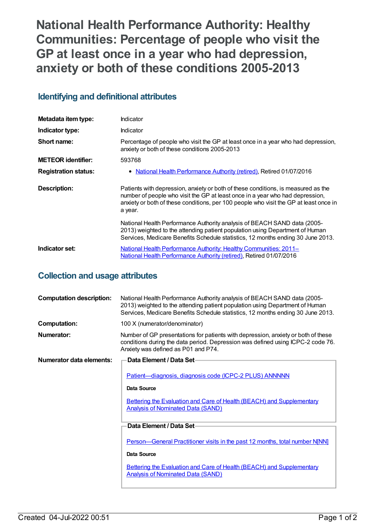**National Health Performance Authority: Healthy Communities: Percentage of people who visit the GP at least once in a year who had depression, anxiety or both of these conditions 2005-2013**

#### **Identifying and definitional attributes**

| Metadata item type:         | Indicator                                                                                                                                                                                                                                                              |
|-----------------------------|------------------------------------------------------------------------------------------------------------------------------------------------------------------------------------------------------------------------------------------------------------------------|
| Indicator type:             | <b>Indicator</b>                                                                                                                                                                                                                                                       |
| Short name:                 | Percentage of people who visit the GP at least once in a year who had depression,<br>anxiety or both of these conditions 2005-2013                                                                                                                                     |
| <b>METEOR identifier:</b>   | 593768                                                                                                                                                                                                                                                                 |
| <b>Registration status:</b> | • National Health Performance Authority (retired), Retired 01/07/2016                                                                                                                                                                                                  |
| <b>Description:</b>         | Patients with depression, anxiety or both of these conditions, is measured as the<br>number of people who visit the GP at least once in a year who had depression,<br>anxiety or both of these conditions, per 100 people who visit the GP at least once in<br>a year. |
|                             | National Health Performance Authority analysis of BEACH SAND data (2005-<br>2013) weighted to the attending patient population using Department of Human<br>Services, Medicare Benefits Schedule statistics, 12 months ending 30 June 2013.                            |
| Indicator set:              | <b>National Health Performance Authority: Healthy Communities: 2011–</b><br><b>National Health Performance Authority (retired), Retired 01/07/2016</b>                                                                                                                 |

### **Collection and usage attributes**

| <b>Computation description:</b> | National Health Performance Authority analysis of BEACH SAND data (2005-<br>2013) weighted to the attending patient population using Department of Human<br>Services, Medicare Benefits Schedule statistics, 12 months ending 30 June 2013. |
|---------------------------------|---------------------------------------------------------------------------------------------------------------------------------------------------------------------------------------------------------------------------------------------|
| <b>Computation:</b>             | 100 X (numerator/denominator)                                                                                                                                                                                                               |
| Numerator:                      | Number of GP presentations for patients with depression, anxiety or both of these<br>conditions during the data period. Depression was defined using ICPC-2 code 76.<br>Anxiety was defined as P01 and P74.                                 |
| Numerator data elements:        | Data Element / Data Set-                                                                                                                                                                                                                    |
|                                 | Patient-diagnosis, diagnosis code (ICPC-2 PLUS) ANNNNN                                                                                                                                                                                      |
|                                 | Data Source                                                                                                                                                                                                                                 |
|                                 | <b>Bettering the Evaluation and Care of Health (BEACH) and Supplementary</b><br><b>Analysis of Nominated Data (SAND)</b>                                                                                                                    |
|                                 | Data Element / Data Set-                                                                                                                                                                                                                    |
|                                 | Person—General Practitioner visits in the past 12 months, total number NJNN]<br>Data Source<br><b>Bettering the Evaluation and Care of Health (BEACH) and Supplementary</b>                                                                 |
|                                 | <b>Analysis of Nominated Data (SAND)</b>                                                                                                                                                                                                    |